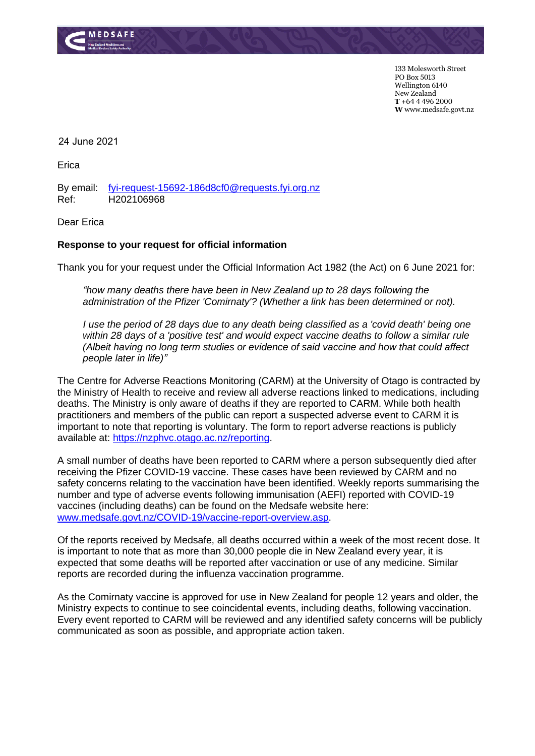

133 Molesworth Street PO Box 5013 Wellington 6140 New Zealand **T** +64 4 496 2000 **W** www.medsafe.govt.nz

24 June 2021

Erica

By email: [fyi-request-15692-186d8cf0@requests.fyi.org.nz](mailto:xxxxxxxxxxxxxxxxxxxxxxxxxx@xxxxxxxx.xxx.xxx.xx) Ref: H202106968

Dear Erica

## **Response to your request for official information**

Thank you for your request under the Official Information Act 1982 (the Act) on 6 June 2021 for:

*"how many deaths there have been in New Zealand up to 28 days following the administration of the Pfizer 'Comirnaty'? (Whether a link has been determined or not).* 

*I use the period of 28 days due to any death being classified as a 'covid death' being one within 28 days of a 'positive test' and would expect vaccine deaths to follow a similar rule (Albeit having no long term studies or evidence of said vaccine and how that could affect people later in life)"*

The Centre for Adverse Reactions Monitoring (CARM) at the University of Otago is contracted by the Ministry of Health to receive and review all adverse reactions linked to medications, including deaths. The Ministry is only aware of deaths if they are reported to CARM. While both health practitioners and members of the public can report a suspected adverse event to CARM it is important to note that reporting is voluntary. The form to report adverse reactions is publicly available at: [https://nzphvc.otago.ac.nz/reporting.](https://nzphvc.otago.ac.nz/reporting)

A small number of deaths have been reported to CARM where a person subsequently died after receiving the Pfizer COVID-19 vaccine. These cases have been reviewed by CARM and no safety concerns relating to the vaccination have been identified. Weekly reports summarising the number and type of adverse events following immunisation (AEFI) reported with COVID-19 vaccines (including deaths) can be found on the Medsafe website here: [www.medsafe.govt.nz/COVID-19/vaccine-report-overview.asp.](http://www.medsafe.govt.nz/COVID-19/vaccine-report-overview.asp)

Of the reports received by Medsafe, all deaths occurred within a week of the most recent dose. It is important to note that as more than 30,000 people die in New Zealand every year, it is expected that some deaths will be reported after vaccination or use of any medicine. Similar reports are recorded during the influenza vaccination programme.

As the Comirnaty vaccine is approved for use in New Zealand for people 12 years and older, the Ministry expects to continue to see coincidental events, including deaths, following vaccination. Every event reported to CARM will be reviewed and any identified safety concerns will be publicly communicated as soon as possible, and appropriate action taken.